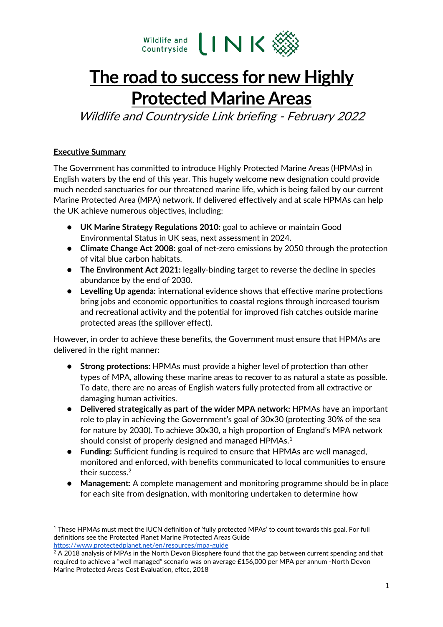

# **The road to success for new Highly Protected Marine Areas**

Wildlife and Countryside Link briefing - February 2022

# **Executive Summary**

The Government has committed to introduce Highly Protected Marine Areas (HPMAs) in English waters by the end of this year. This hugely welcome new designation could provide much needed sanctuaries for our threatened marine life, which is being failed by our current Marine Protected Area (MPA) network. If delivered effectively and at scale HPMAs can help the UK achieve numerous objectives, including:

- **UK Marine Strategy Regulations 2010:** goal to achieve or maintain Good Environmental Status in UK seas, next assessment in 2024.
- **Climate Change Act 2008:** goal of net-zero emissions by 2050 through the protection of vital blue carbon habitats.
- **The Environment Act 2021:** legally-binding target to reverse the decline in species abundance by the end of 2030.
- **Levelling Up agenda:** international evidence shows that effective marine protections bring jobs and economic opportunities to coastal regions through increased tourism and recreational activity and the potential for improved fish catches outside marine protected areas (the spillover effect).

However, in order to achieve these benefits, the Government must ensure that HPMAs are delivered in the right manner:

- **Strong protections:** HPMAs must provide a higher level of protection than other types of MPA, allowing these marine areas to recover to as natural a state as possible. To date, there are no areas of English waters fully protected from all extractive or damaging human activities.
- **Delivered strategically as part of the wider MPA network:** HPMAs have an important role to play in achieving the Government's goal of 30x30 (protecting 30% of the sea for nature by 2030). To achieve 30x30, a high proportion of England's MPA network should consist of properly designed and managed HPMAs.<sup>1</sup>
- **Funding:** Sufficient funding is required to ensure that HPMAs are well managed, monitored and enforced, with benefits communicated to local communities to ensure their success.<sup>2</sup>
- **Management:** A complete management and monitoring programme should be in place for each site from designation, with monitoring undertaken to determine how

<sup>1</sup> These HPMAs must meet the IUCN definition of 'fully protected MPAs' to count towards this goal. For full definitions see the Protected Planet Marine Protected Areas Guide <https://www.protectedplanet.net/en/resources/mpa-guide>

<sup>&</sup>lt;sup>2</sup> A 2018 analysis of MPAs in the North Devon Biosphere found that the gap between current spending and that required to achieve a "well managed" scenario was on average £156,000 per MPA per annum -North Devon Marine Protected Areas Cost Evaluation, eftec, 2018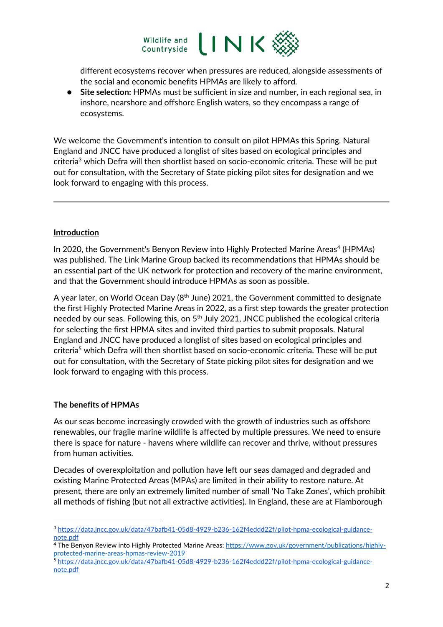

different ecosystems recover when pressures are reduced, alongside assessments of the social and economic benefits HPMAs are likely to afford.

● **Site selection:** HPMAs must be sufficient in size and number, in each regional sea, in inshore, nearshore and offshore English waters, so they encompass a range of ecosystems.

We welcome the Government's intention to consult on pilot HPMAs this Spring. Natural England and JNCC have produced a longlist of sites based on ecological principles and criteria<sup>3</sup> which Defra will then shortlist based on socio-economic criteria. These will be put out for consultation, with the Secretary of State picking pilot sites for designation and we look forward to engaging with this process.

#### **Introduction**

In 2020, the Government's Benyon Review into Highly Protected Marine Areas<sup>4</sup> (HPMAs) was published. The Link Marine Group backed its recommendations that HPMAs should be an essential part of the UK network for protection and recovery of the marine environment, and that the Government should introduce HPMAs as soon as possible.

A year later, on World Ocean Day (8<sup>th</sup> June) 2021, the Government committed to designate the first Highly Protected Marine Areas in 2022, as a first step towards the greater protection needed by our seas. Following this, on 5<sup>th</sup> July 2021, JNCC published the ecological criteria for selecting the first HPMA sites and invited third parties to submit proposals. Natural England and JNCC have produced a longlist of sites based on ecological principles and criteria<sup>5</sup> which Defra will then shortlist based on socio-economic criteria. These will be put out for consultation, with the Secretary of State picking pilot sites for designation and we look forward to engaging with this process.

#### **The benefits of HPMAs**

As our seas become increasingly crowded with the growth of industries such as offshore renewables, our fragile marine wildlife is affected by multiple pressures. We need to ensure there is space for nature - havens where wildlife can recover and thrive, without pressures from human activities.

Decades of overexploitation and pollution have left our seas damaged and degraded and existing Marine Protected Areas (MPAs) are limited in their ability to restore nature. At present, there are only an extremely limited number of small 'No Take Zones', which prohibit all methods of fishing (but not all extractive activities). In England, these are at Flamborough

<sup>3</sup> [https://data.jncc.gov.uk/data/47bafb41-05d8-4929-b236-162f4eddd22f/pilot-hpma-ecological-guidance](https://data.jncc.gov.uk/data/47bafb41-05d8-4929-b236-162f4eddd22f/pilot-hpma-ecological-guidance-note.pdf)[note.pdf](https://data.jncc.gov.uk/data/47bafb41-05d8-4929-b236-162f4eddd22f/pilot-hpma-ecological-guidance-note.pdf)

<sup>4</sup> The Benyon Review into Highly Protected Marine Areas[: https://www.gov.uk/government/publications/highly](https://www.gov.uk/government/publications/highly-protected-marine-areas-hpmas-review-2019)[protected-marine-areas-hpmas-review-2019](https://www.gov.uk/government/publications/highly-protected-marine-areas-hpmas-review-2019)

<sup>5</sup> [https://data.jncc.gov.uk/data/47bafb41-05d8-4929-b236-162f4eddd22f/pilot-hpma-ecological-guidance](https://data.jncc.gov.uk/data/47bafb41-05d8-4929-b236-162f4eddd22f/pilot-hpma-ecological-guidance-note.pdf)[note.pdf](https://data.jncc.gov.uk/data/47bafb41-05d8-4929-b236-162f4eddd22f/pilot-hpma-ecological-guidance-note.pdf)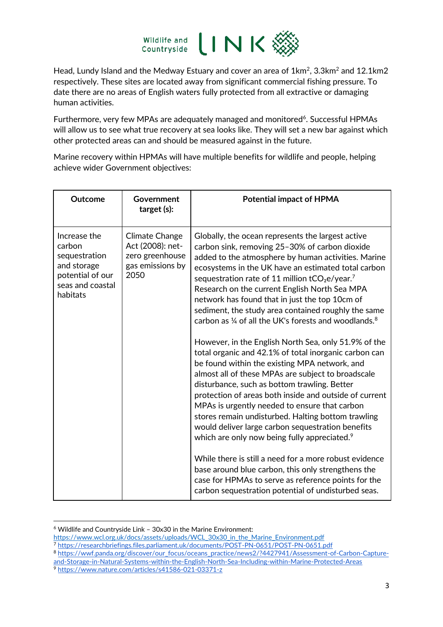

Head, Lundy Island and the Medway Estuary and cover an area of 1km<sup>2</sup>, 3.3km<sup>2</sup> and 12.1km2 respectively. These sites are located away from significant commercial fishing pressure. To date there are no areas of English waters fully protected from all extractive or damaging human activities.

Furthermore, very few MPAs are adequately managed and monitored<sup>6</sup>. Successful HPMAs will allow us to see what true recovery at sea looks like. They will set a new bar against which other protected areas can and should be measured against in the future.

Marine recovery within HPMAs will have multiple benefits for wildlife and people, helping achieve wider Government objectives:

|                                                                                                                                                                                                                                                                                                                                                                                                                                                                                                                                                                                                                          | <b>Outcome</b> | Government<br>target (s): | <b>Potential impact of HPMA</b>                                                                                                                                                                                                                                                                                                                                                                                                                                                                                                                                                                                                                                                                                                                                                                                                                                              |
|--------------------------------------------------------------------------------------------------------------------------------------------------------------------------------------------------------------------------------------------------------------------------------------------------------------------------------------------------------------------------------------------------------------------------------------------------------------------------------------------------------------------------------------------------------------------------------------------------------------------------|----------------|---------------------------|------------------------------------------------------------------------------------------------------------------------------------------------------------------------------------------------------------------------------------------------------------------------------------------------------------------------------------------------------------------------------------------------------------------------------------------------------------------------------------------------------------------------------------------------------------------------------------------------------------------------------------------------------------------------------------------------------------------------------------------------------------------------------------------------------------------------------------------------------------------------------|
| Increase the<br>Climate Change<br>Globally, the ocean represents the largest active<br>Act (2008): net-<br>carbon<br>sequestration<br>zero greenhouse<br>gas emissions by<br>and storage<br>2050<br>potential of our<br>sequestration rate of 11 million $tCO2e/year.7$<br>seas and coastal<br>Research on the current English North Sea MPA<br>habitats<br>network has found that in just the top 10cm of<br>be found within the existing MPA network, and<br>disturbance, such as bottom trawling. Better<br>MPAs is urgently needed to ensure that carbon<br>which are only now being fully appreciated. <sup>9</sup> |                |                           | carbon sink, removing 25-30% of carbon dioxide<br>added to the atmosphere by human activities. Marine<br>ecosystems in the UK have an estimated total carbon<br>sediment, the study area contained roughly the same<br>carbon as $\frac{1}{4}$ of all the UK's forests and woodlands. <sup>8</sup><br>However, in the English North Sea, only 51.9% of the<br>total organic and 42.1% of total inorganic carbon can<br>almost all of these MPAs are subject to broadscale<br>protection of areas both inside and outside of current<br>stores remain undisturbed. Halting bottom trawling<br>would deliver large carbon sequestration benefits<br>While there is still a need for a more robust evidence<br>base around blue carbon, this only strengthens the<br>case for HPMAs to serve as reference points for the<br>carbon sequestration potential of undisturbed seas. |

<sup>6</sup> Wildlife and Countryside Link – 30x30 in the Marine Environment:

- [https://www.wcl.org.uk/docs/assets/uploads/WCL\\_30x30\\_in\\_the\\_Marine\\_Environment.pdf](https://www.wcl.org.uk/docs/assets/uploads/WCL_30x30_in_the_Marine_Environment.pdf)
- <sup>7</sup> <https://researchbriefings.files.parliament.uk/documents/POST-PN-0651/POST-PN-0651.pdf>

<sup>8</sup> [https://wwf.panda.org/discover/our\\_focus/oceans\\_practice/news2/?4427941/Assessment-of-Carbon-Capture](https://wwf.panda.org/discover/our_focus/oceans_practice/news2/?4427941/Assessment-of-Carbon-Capture-and-Storage-in-Natural-Systems-within-the-English-North-Sea-Including-within-Marine-Protected-Areas)[and-Storage-in-Natural-Systems-within-the-English-North-Sea-Including-within-Marine-Protected-Areas](https://wwf.panda.org/discover/our_focus/oceans_practice/news2/?4427941/Assessment-of-Carbon-Capture-and-Storage-in-Natural-Systems-within-the-English-North-Sea-Including-within-Marine-Protected-Areas)

<sup>9</sup> <https://www.nature.com/articles/s41586-021-03371-z>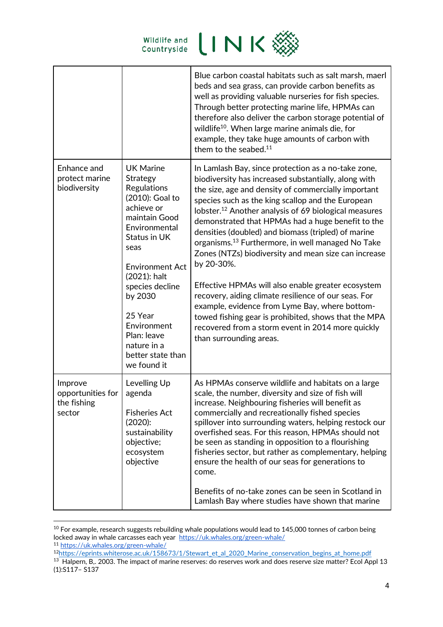

|                                                       |                                                                                                                                                                                                                                                                                                            | Blue carbon coastal habitats such as salt marsh, maerl<br>beds and sea grass, can provide carbon benefits as<br>well as providing valuable nurseries for fish species.<br>Through better protecting marine life, HPMAs can<br>therefore also deliver the carbon storage potential of<br>wildlife <sup>10</sup> . When large marine animals die, for<br>example, they take huge amounts of carbon with<br>them to the seabed. <sup>11</sup>                                                                                                                                                                                                                                                                                                                                                                                                              |
|-------------------------------------------------------|------------------------------------------------------------------------------------------------------------------------------------------------------------------------------------------------------------------------------------------------------------------------------------------------------------|---------------------------------------------------------------------------------------------------------------------------------------------------------------------------------------------------------------------------------------------------------------------------------------------------------------------------------------------------------------------------------------------------------------------------------------------------------------------------------------------------------------------------------------------------------------------------------------------------------------------------------------------------------------------------------------------------------------------------------------------------------------------------------------------------------------------------------------------------------|
| Enhance and<br>protect marine<br>biodiversity         | <b>UK Marine</b><br>Strategy<br>Regulations<br>(2010): Goal to<br>achieve or<br>maintain Good<br>Environmental<br>Status in UK<br>seas<br><b>Environment Act</b><br>(2021): halt<br>species decline<br>by 2030<br>25 Year<br>Environment<br>Plan: leave<br>nature in a<br>better state than<br>we found it | In Lamlash Bay, since protection as a no-take zone,<br>biodiversity has increased substantially, along with<br>the size, age and density of commercially important<br>species such as the king scallop and the European<br>lobster. <sup>12</sup> Another analysis of 69 biological measures<br>demonstrated that HPMAs had a huge benefit to the<br>densities (doubled) and biomass (tripled) of marine<br>organisms. <sup>13</sup> Furthermore, in well managed No Take<br>Zones (NTZs) biodiversity and mean size can increase<br>by 20-30%.<br>Effective HPMAs will also enable greater ecosystem<br>recovery, aiding climate resilience of our seas. For<br>example, evidence from Lyme Bay, where bottom-<br>towed fishing gear is prohibited, shows that the MPA<br>recovered from a storm event in 2014 more quickly<br>than surrounding areas. |
| Improve<br>opportunities for<br>the fishing<br>sector | Levelling Up<br>agenda<br><b>Fisheries Act</b><br>(2020):<br>sustainability<br>objective;<br>ecosystem<br>objective                                                                                                                                                                                        | As HPMAs conserve wildlife and habitats on a large<br>scale, the number, diversity and size of fish will<br>increase. Neighbouring fisheries will benefit as<br>commercially and recreationally fished species<br>spillover into surrounding waters, helping restock our<br>overfished seas. For this reason, HPMAs should not<br>be seen as standing in opposition to a flourishing<br>fisheries sector, but rather as complementary, helping<br>ensure the health of our seas for generations to<br>come.<br>Benefits of no-take zones can be seen in Scotland in<br>Lamlash Bay where studies have shown that marine                                                                                                                                                                                                                                 |

<sup>&</sup>lt;sup>10</sup> For example, research suggests rebuilding whale populations would lead to 145,000 tonnes of carbon being locked away in whale carcasses each year<https://uk.whales.org/green-whale/> 11 <https://uk.whales.org/green-whale/>

<sup>&</sup>lt;sup>12</sup>[https://eprints.whiterose.ac.uk/158673/1/Stewart\\_et\\_al\\_2020\\_Marine\\_conservation\\_begins\\_at\\_home.pdf](https://eprints.whiterose.ac.uk/158673/1/Stewart_et_al_2020_Marine_conservation_begins_at_home.pdf)<br><sup>13</sup> Halpern, B,. 2003. The impact of marine reserves: do reserves work and does reserve size matter? Ecol Appl 13 (1):S117– S137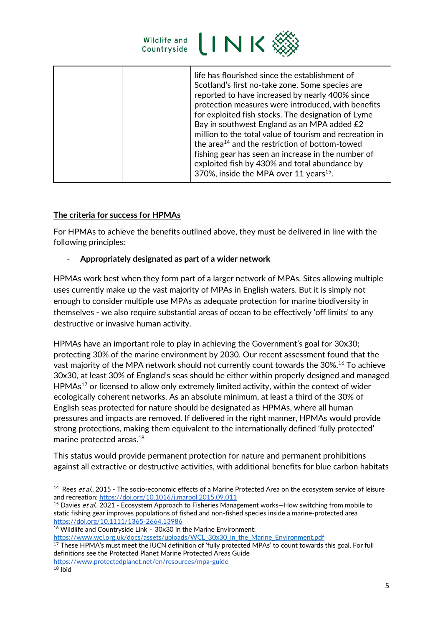

## **The criteria for success for HPMAs**

For HPMAs to achieve the benefits outlined above, they must be delivered in line with the following principles:

## - **Appropriately designated as part of a wider network**

HPMAs work best when they form part of a larger network of MPAs. Sites allowing multiple uses currently make up the vast majority of MPAs in English waters. But it is simply not enough to consider multiple use MPAs as adequate protection for marine biodiversity in themselves - we also require substantial areas of ocean to be effectively 'off limits' to any destructive or invasive human activity.

HPMAs have an important role to play in achieving the Government's goal for 30x30; protecting 30% of the marine environment by 2030. Our recent assessment found that the vast majority of the MPA network should not currently count towards the 30%.<sup>16</sup> To achieve 30x30, at least 30% of England's seas should be either within properly designed and managed  $HPMAs<sup>17</sup>$  or licensed to allow only extremely limited activity, within the context of wider ecologically coherent networks. As an absolute minimum, at least a third of the 30% of English seas protected for nature should be designated as HPMAs, where all human pressures and impacts are removed. If delivered in the right manner, HPMAs would provide strong protections, making them equivalent to the internationally defined 'fully protected' marine protected areas.<sup>18</sup>

This status would provide permanent protection for nature and permanent prohibitions against all extractive or destructive activities, with additional benefits for blue carbon habitats

[https://www.wcl.org.uk/docs/assets/uploads/WCL\\_30x30\\_in\\_the\\_Marine\\_Environment.pdf](https://www.wcl.org.uk/docs/assets/uploads/WCL_30x30_in_the_Marine_Environment.pdf)

<sup>17</sup> These HPMA's must meet the IUCN definition of 'fully protected MPAs' to count towards this goal. For full definitions see the Protected Planet Marine Protected Areas Guide

<sup>&</sup>lt;sup>14</sup> Rees *et al.,* 2015 - The socio-economic effects of a Marine Protected Area on the ecosystem service of leisure and recreation[: https://doi.org/10.1016/j.marpol.2015.09.011](https://doi.org/10.1016/j.marpol.2015.09.011)

<sup>&</sup>lt;sup>15</sup> Davies et al., 2021 - Ecosystem Approach to Fisheries Management works–How switching from mobile to static fishing gear improves populations of fished and non-fished species inside a marine-protected area <https://doi.org/10.1111/1365-2664.13986>

<sup>16</sup> Wildlife and Countryside Link – 30x30 in the Marine Environment:

<https://www.protectedplanet.net/en/resources/mpa-guide>

 $18$  Ibid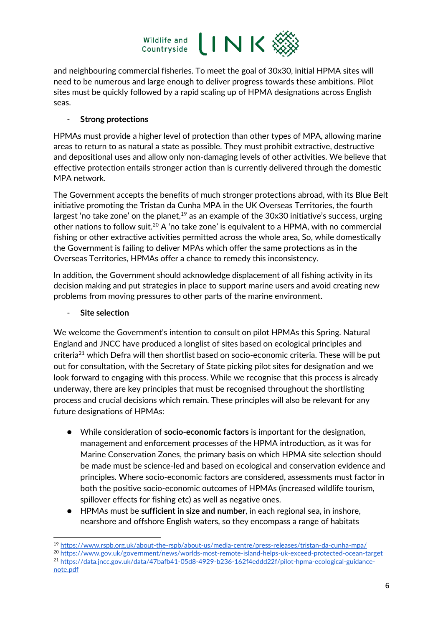

and neighbouring commercial fisheries. To meet the goal of 30x30, initial HPMA sites will need to be numerous and large enough to deliver progress towards these ambitions. Pilot sites must be quickly followed by a rapid scaling up of HPMA designations across English seas.

## - **Strong protections**

HPMAs must provide a higher level of protection than other types of MPA, allowing marine areas to return to as natural a state as possible. They must prohibit extractive, destructive and depositional uses and allow only non-damaging levels of other activities. We believe that effective protection entails stronger action than is currently delivered through the domestic MPA network.

The Government accepts the benefits of much stronger protections abroad, with its Blue Belt initiative promoting the Tristan da Cunha MPA in the UK Overseas Territories, the fourth largest 'no take zone' on the planet,<sup>19</sup> as an example of the  $30x30$  initiative's success, urging other nations to follow suit.<sup>20</sup> A 'no take zone' is equivalent to a HPMA, with no commercial fishing or other extractive activities permitted across the whole area, So, while domestically the Government is failing to deliver MPAs which offer the same protections as in the Overseas Territories, HPMAs offer a chance to remedy this inconsistency.

In addition, the Government should acknowledge displacement of all fishing activity in its decision making and put strategies in place to support marine users and avoid creating new problems from moving pressures to other parts of the marine environment.

## - **Site selection**

We welcome the Government's intention to consult on pilot HPMAs this Spring. Natural England and JNCC have produced a longlist of sites based on ecological principles and criteria<sup>21</sup> which Defra will then shortlist based on socio-economic criteria. These will be put out for consultation, with the Secretary of State picking pilot sites for designation and we look forward to engaging with this process. While we recognise that this process is already underway, there are key principles that must be recognised throughout the shortlisting process and crucial decisions which remain. These principles will also be relevant for any future designations of HPMAs:

- While consideration of **socio-economic factors** is important for the designation, management and enforcement processes of the HPMA introduction, as it was for Marine Conservation Zones, the primary basis on which HPMA site selection should be made must be science-led and based on ecological and conservation evidence and principles. Where socio-economic factors are considered, assessments must factor in both the positive socio-economic outcomes of HPMAs (increased wildlife tourism, spillover effects for fishing etc) as well as negative ones.
- HPMAs must be **sufficient in size and number**, in each regional sea, in inshore, nearshore and offshore English waters, so they encompass a range of habitats

<sup>20</sup> <https://www.gov.uk/government/news/worlds-most-remote-island-helps-uk-exceed-protected-ocean-target> <sup>21</sup> [https://data.jncc.gov.uk/data/47bafb41-05d8-4929-b236-162f4eddd22f/pilot-hpma-ecological-guidance-](https://data.jncc.gov.uk/data/47bafb41-05d8-4929-b236-162f4eddd22f/pilot-hpma-ecological-guidance-note.pdf)

[note.pdf](https://data.jncc.gov.uk/data/47bafb41-05d8-4929-b236-162f4eddd22f/pilot-hpma-ecological-guidance-note.pdf)

<sup>19</sup> <https://www.rspb.org.uk/about-the-rspb/about-us/media-centre/press-releases/tristan-da-cunha-mpa/>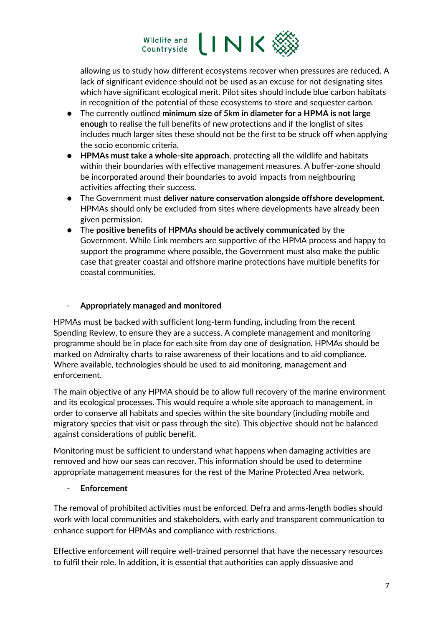

allowing us to study how different ecosystems recover when pressures are reduced. A lack of significant evidence should not be used as an excuse for not designating sites which have significant ecological merit. Pilot sites should include blue carbon habitats in recognition of the potential of these ecosystems to store and sequester carbon.

- The currently outlined **minimum size of 5km in diameter for a HPMA is not large enough** to realise the full benefits of new protections and if the longlist of sites includes much larger sites these should not be the first to be struck off when applying the socio economic criteria.
- **HPMAs must take a whole-site approach**, protecting all the wildlife and habitats within their boundaries with effective management measures. A buffer-zone should be incorporated around their boundaries to avoid impacts from neighbouring activities affecting their success.
- The Government must **deliver nature conservation alongside offshore development**. HPMAs should only be excluded from sites where developments have already been given permission.
- The **positive benefits of HPMAs should be actively communicated** by the Government. While Link members are supportive of the HPMA process and happy to support the programme where possible, the Government must also make the public case that greater coastal and offshore marine protections have multiple benefits for coastal communities.

# - **Appropriately managed and monitored**

HPMAs must be backed with sufficient long-term funding, including from the recent Spending Review, to ensure they are a success. A complete management and monitoring programme should be in place for each site from day one of designation. HPMAs should be marked on Admiralty charts to raise awareness of their locations and to aid compliance. Where available, technologies should be used to aid monitoring, management and enforcement.

The main objective of any HPMA should be to allow full recovery of the marine environment and its ecological processes. This would require a whole site approach to management, in order to conserve all habitats and species within the site boundary (including mobile and migratory species that visit or pass through the site). This objective should not be balanced against considerations of public benefit.

Monitoring must be sufficient to understand what happens when damaging activities are removed and how our seas can recover. This information should be used to determine appropriate management measures for the rest of the Marine Protected Area network.

#### - **Enforcement**

The removal of prohibited activities must be enforced. Defra and arms-length bodies should work with local communities and stakeholders, with early and transparent communication to enhance support for HPMAs and compliance with restrictions.

Effective enforcement will require well-trained personnel that have the necessary resources to fulfil their role. In addition, it is essential that authorities can apply dissuasive and